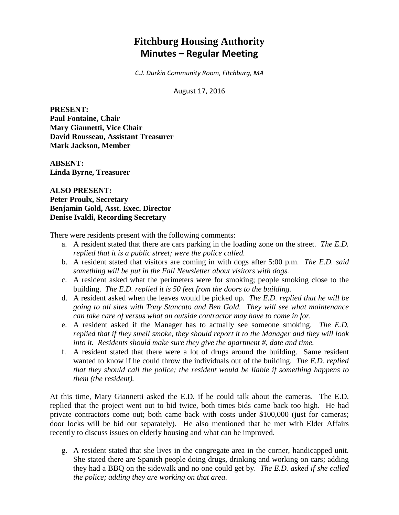# **Fitchburg Housing Authority Minutes – Regular Meeting**

*C.J. Durkin Community Room, Fitchburg, MA*

August 17, 2016

**PRESENT: Paul Fontaine, Chair Mary Giannetti, Vice Chair David Rousseau, Assistant Treasurer Mark Jackson, Member**

**ABSENT: Linda Byrne, Treasurer**

**ALSO PRESENT: Peter Proulx, Secretary Benjamin Gold, Asst. Exec. Director Denise Ivaldi, Recording Secretary**

There were residents present with the following comments:

- a. A resident stated that there are cars parking in the loading zone on the street. *The E.D. replied that it is a public street; were the police called.*
- b. A resident stated that visitors are coming in with dogs after 5:00 p.m. *The E.D. said something will be put in the Fall Newsletter about visitors with dogs.*
- c. A resident asked what the perimeters were for smoking; people smoking close to the building. *The E.D. replied it is 50 feet from the doors to the building.*
- d. A resident asked when the leaves would be picked up. *The E.D. replied that he will be going to all sites with Tony Stancato and Ben Gold. They will see what maintenance can take care of versus what an outside contractor may have to come in for.*
- e. A resident asked if the Manager has to actually see someone smoking. *The E.D. replied that if they smell smoke, they should report it to the Manager and they will look into it. Residents should make sure they give the apartment #, date and time.*
- f. A resident stated that there were a lot of drugs around the building. Same resident wanted to know if he could throw the individuals out of the building. *The E.D. replied that they should call the police; the resident would be liable if something happens to them (the resident).*

At this time, Mary Giannetti asked the E.D. if he could talk about the cameras. The E.D. replied that the project went out to bid twice, both times bids came back too high. He had private contractors come out; both came back with costs under \$100,000 (just for cameras; door locks will be bid out separately). He also mentioned that he met with Elder Affairs recently to discuss issues on elderly housing and what can be improved.

g. A resident stated that she lives in the congregate area in the corner, handicapped unit. She stated there are Spanish people doing drugs, drinking and working on cars; adding they had a BBQ on the sidewalk and no one could get by. *The E.D. asked if she called the police; adding they are working on that area.*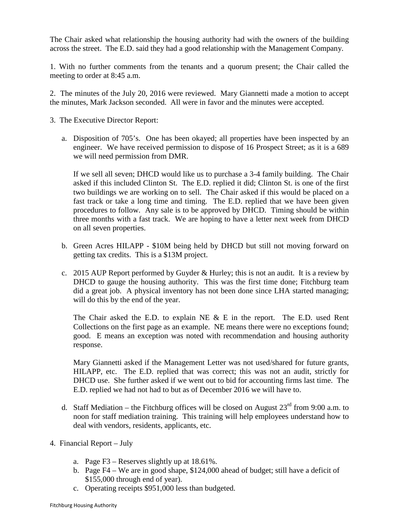The Chair asked what relationship the housing authority had with the owners of the building across the street. The E.D. said they had a good relationship with the Management Company.

1. With no further comments from the tenants and a quorum present; the Chair called the meeting to order at 8:45 a.m.

2. The minutes of the July 20, 2016 were reviewed. Mary Giannetti made a motion to accept the minutes, Mark Jackson seconded. All were in favor and the minutes were accepted.

- 3. The Executive Director Report:
	- a. Disposition of 705's. One has been okayed; all properties have been inspected by an engineer. We have received permission to dispose of 16 Prospect Street; as it is a 689 we will need permission from DMR.

If we sell all seven; DHCD would like us to purchase a 3-4 family building. The Chair asked if this included Clinton St. The E.D. replied it did; Clinton St. is one of the first two buildings we are working on to sell. The Chair asked if this would be placed on a fast track or take a long time and timing. The E.D. replied that we have been given procedures to follow. Any sale is to be approved by DHCD. Timing should be within three months with a fast track. We are hoping to have a letter next week from DHCD on all seven properties.

- b. Green Acres HILAPP \$10M being held by DHCD but still not moving forward on getting tax credits. This is a \$13M project.
- c. 2015 AUP Report performed by Guyder & Hurley; this is not an audit. It is a review by DHCD to gauge the housing authority. This was the first time done; Fitchburg team did a great job. A physical inventory has not been done since LHA started managing; will do this by the end of the year.

The Chair asked the E.D. to explain NE & E in the report. The E.D. used Rent Collections on the first page as an example. NE means there were no exceptions found; good. E means an exception was noted with recommendation and housing authority response.

Mary Giannetti asked if the Management Letter was not used/shared for future grants, HILAPP, etc. The E.D. replied that was correct; this was not an audit, strictly for DHCD use. She further asked if we went out to bid for accounting firms last time. The E.D. replied we had not had to but as of December 2016 we will have to.

- d. Staff Mediation the Fitchburg offices will be closed on August  $23<sup>rd</sup>$  from 9:00 a.m. to noon for staff mediation training. This training will help employees understand how to deal with vendors, residents, applicants, etc.
- 4. Financial Report July
	- a. Page F3 Reserves slightly up at 18.61%.
	- b. Page F4 We are in good shape, \$124,000 ahead of budget; still have a deficit of \$155,000 through end of year).
	- c. Operating receipts \$951,000 less than budgeted.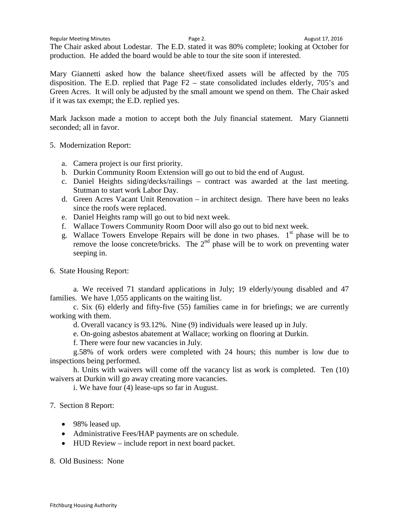Regular Meeting Minutes and the Cause of Page 2. August 17, 2016

The Chair asked about Lodestar. The E.D. stated it was 80% complete; looking at October for production. He added the board would be able to tour the site soon if interested.

Mary Giannetti asked how the balance sheet/fixed assets will be affected by the 705 disposition. The E.D. replied that Page F2 – state consolidated includes elderly, 705's and Green Acres. It will only be adjusted by the small amount we spend on them. The Chair asked if it was tax exempt; the E.D. replied yes.

Mark Jackson made a motion to accept both the July financial statement. Mary Giannetti seconded; all in favor.

5. Modernization Report:

- a. Camera project is our first priority.
- b. Durkin Community Room Extension will go out to bid the end of August.
- c. Daniel Heights siding/decks/railings contract was awarded at the last meeting. Stutman to start work Labor Day.
- d. Green Acres Vacant Unit Renovation in architect design. There have been no leaks since the roofs were replaced.
- e. Daniel Heights ramp will go out to bid next week.
- f. Wallace Towers Community Room Door will also go out to bid next week.
- g. Wallace Towers Envelope Repairs will be done in two phases.  $1<sup>st</sup>$  phase will be to remove the loose concrete/bricks. The  $2<sup>nd</sup>$  phase will be to work on preventing water seeping in.
- 6. State Housing Report:

a. We received 71 standard applications in July; 19 elderly/young disabled and 47 families. We have 1,055 applicants on the waiting list.

 c. Six (6) elderly and fifty-five (55) families came in for briefings; we are currently working with them.

d. Overall vacancy is 93.12%. Nine (9) individuals were leased up in July.

e. On-going asbestos abatement at Wallace; working on flooring at Durkin.

f. There were four new vacancies in July.

g.58% of work orders were completed with 24 hours; this number is low due to inspections being performed.

h. Units with waivers will come off the vacancy list as work is completed. Ten (10) waivers at Durkin will go away creating more vacancies.

i. We have four (4) lease-ups so far in August.

- 7. Section 8 Report:
	- 98% leased up.
	- Administrative Fees/HAP payments are on schedule.
	- HUD Review include report in next board packet.

8. Old Business: None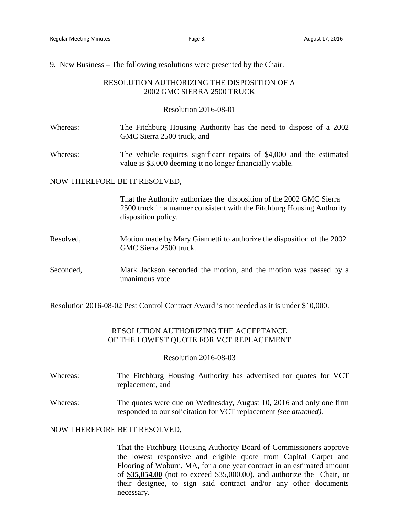9. New Business – The following resolutions were presented by the Chair.

### RESOLUTION AUTHORIZING THE DISPOSITION OF A 2002 GMC SIERRA 2500 TRUCK

#### Resolution 2016-08-01

- Whereas: The Fitchburg Housing Authority has the need to dispose of a 2002 GMC Sierra 2500 truck, and
- Whereas: The vehicle requires significant repairs of \$4,000 and the estimated value is \$3,000 deeming it no longer financially viable.

#### NOW THEREFORE BE IT RESOLVED,

That the Authority authorizes the disposition of the 2002 GMC Sierra 2500 truck in a manner consistent with the Fitchburg Housing Authority disposition policy.

- Resolved, Motion made by Mary Giannetti to authorize the disposition of the 2002 GMC Sierra 2500 truck.
- Seconded, Mark Jackson seconded the motion, and the motion was passed by a unanimous vote.

Resolution 2016-08-02 Pest Control Contract Award is not needed as it is under \$10,000.

## RESOLUTION AUTHORIZING THE ACCEPTANCE OF THE LOWEST QUOTE FOR VCT REPLACEMENT

#### Resolution 2016-08-03

- Whereas: The Fitchburg Housing Authority has advertised for quotes for VCT replacement, and
- Whereas: The quotes were due on Wednesday, August 10, 2016 and only one firm responded to our solicitation for VCT replacement *(see attached).*

#### NOW THEREFORE BE IT RESOLVED,

That the Fitchburg Housing Authority Board of Commissioners approve the lowest responsive and eligible quote from Capital Carpet and Flooring of Woburn, MA, for a one year contract in an estimated amount of **\$35,054.00** (not to exceed \$35,000.00), and authorize the Chair, or their designee, to sign said contract and/or any other documents necessary.